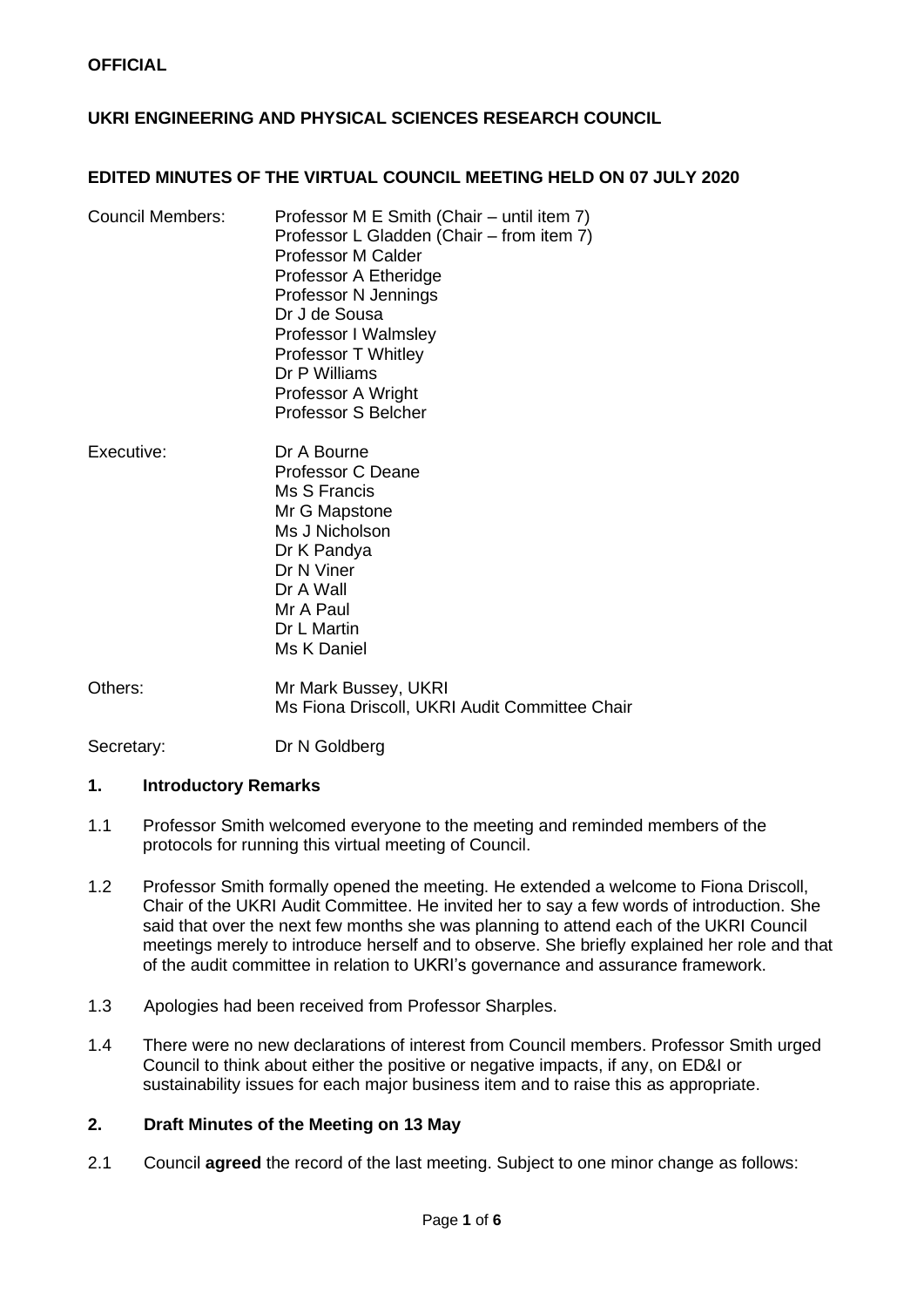## **UKRI ENGINEERING AND PHYSICAL SCIENCES RESEARCH COUNCIL**

### **EDITED MINUTES OF THE VIRTUAL COUNCIL MEETING HELD ON 07 JULY 2020**

| <b>Council Members:</b> | Professor M E Smith (Chair – until item 7)<br>Professor L Gladden (Chair – from item 7)<br><b>Professor M Calder</b><br>Professor A Etheridge<br>Professor N Jennings<br>Dr J de Sousa<br>Professor I Walmsley |
|-------------------------|----------------------------------------------------------------------------------------------------------------------------------------------------------------------------------------------------------------|
|                         |                                                                                                                                                                                                                |
|                         |                                                                                                                                                                                                                |
|                         |                                                                                                                                                                                                                |
|                         |                                                                                                                                                                                                                |
|                         | Professor T Whitley                                                                                                                                                                                            |
|                         | Dr P Williams                                                                                                                                                                                                  |
|                         | Professor A Wright                                                                                                                                                                                             |
|                         | <b>Professor S Belcher</b>                                                                                                                                                                                     |

- Executive: Dr A Bourne Professor C Deane Ms S Francis Mr G Mapstone Ms J Nicholson Dr K Pandya Dr N Viner Dr A Wall Mr A Paul Dr L Martin Ms K Daniel
- Others: Mr Mark Bussey, UKRI Ms Fiona Driscoll, UKRI Audit Committee Chair

Secretary: Dr N Goldberg

### **1. Introductory Remarks**

- 1.1 Professor Smith welcomed everyone to the meeting and reminded members of the protocols for running this virtual meeting of Council.
- 1.2 Professor Smith formally opened the meeting. He extended a welcome to Fiona Driscoll, Chair of the UKRI Audit Committee. He invited her to say a few words of introduction. She said that over the next few months she was planning to attend each of the UKRI Council meetings merely to introduce herself and to observe. She briefly explained her role and that of the audit committee in relation to UKRI's governance and assurance framework.
- 1.3 Apologies had been received from Professor Sharples.
- 1.4 There were no new declarations of interest from Council members. Professor Smith urged Council to think about either the positive or negative impacts, if any, on ED&I or sustainability issues for each major business item and to raise this as appropriate.

## **2. Draft Minutes of the Meeting on 13 May**

2.1 Council **agreed** the record of the last meeting. Subject to one minor change as follows: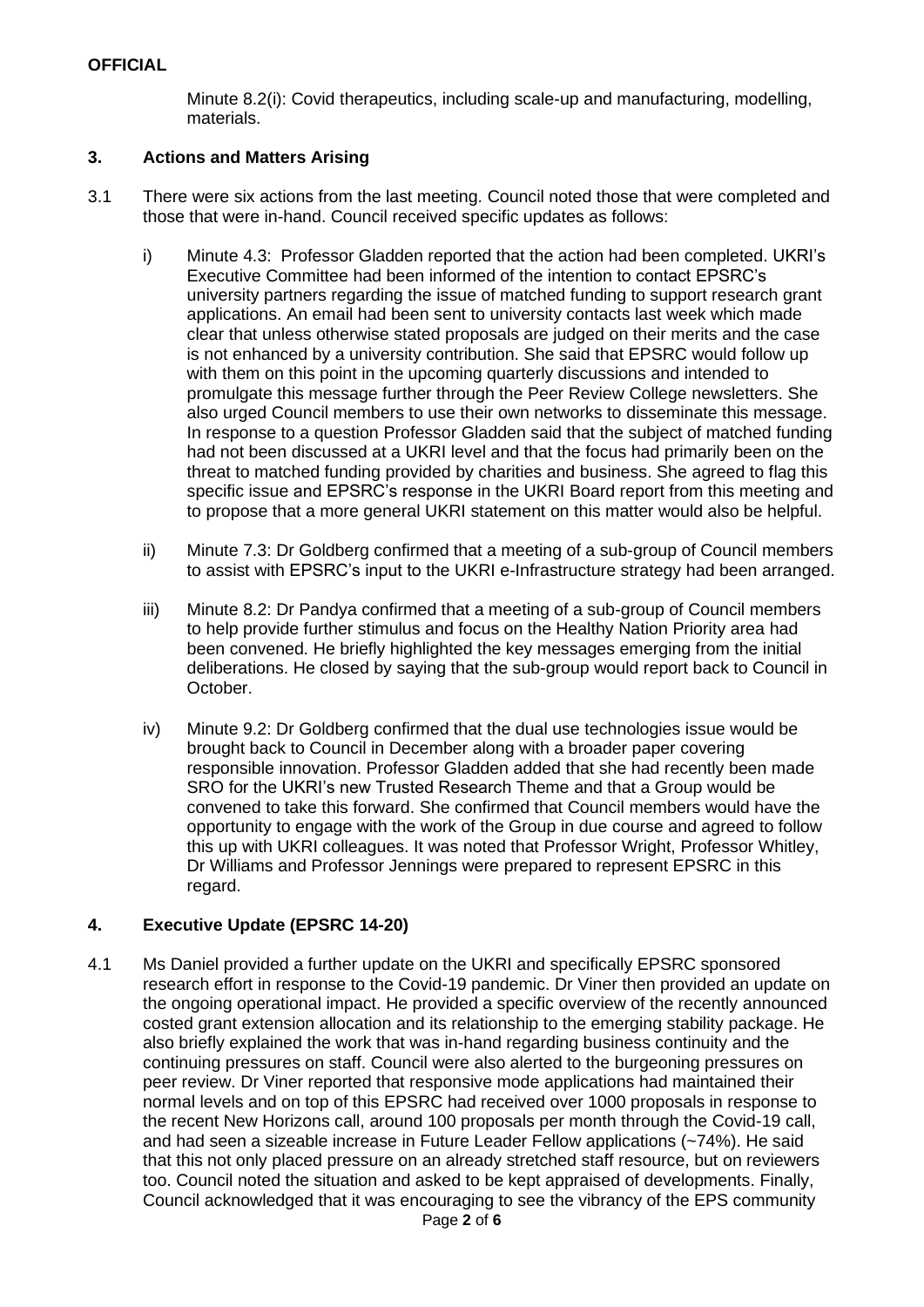Minute 8.2(i): Covid therapeutics, including scale-up and manufacturing, modelling, materials.

## **3. Actions and Matters Arising**

- 3.1 There were six actions from the last meeting. Council noted those that were completed and those that were in-hand. Council received specific updates as follows:
	- i) Minute 4.3: Professor Gladden reported that the action had been completed. UKRI's Executive Committee had been informed of the intention to contact EPSRC's university partners regarding the issue of matched funding to support research grant applications. An email had been sent to university contacts last week which made clear that unless otherwise stated proposals are judged on their merits and the case is not enhanced by a university contribution. She said that EPSRC would follow up with them on this point in the upcoming quarterly discussions and intended to promulgate this message further through the Peer Review College newsletters. She also urged Council members to use their own networks to disseminate this message. In response to a question Professor Gladden said that the subject of matched funding had not been discussed at a UKRI level and that the focus had primarily been on the threat to matched funding provided by charities and business. She agreed to flag this specific issue and EPSRC's response in the UKRI Board report from this meeting and to propose that a more general UKRI statement on this matter would also be helpful.
	- ii) Minute 7.3: Dr Goldberg confirmed that a meeting of a sub-group of Council members to assist with EPSRC's input to the UKRI e-Infrastructure strategy had been arranged.
	- iii) Minute 8.2: Dr Pandya confirmed that a meeting of a sub-group of Council members to help provide further stimulus and focus on the Healthy Nation Priority area had been convened. He briefly highlighted the key messages emerging from the initial deliberations. He closed by saying that the sub-group would report back to Council in October.
	- iv) Minute 9.2: Dr Goldberg confirmed that the dual use technologies issue would be brought back to Council in December along with a broader paper covering responsible innovation. Professor Gladden added that she had recently been made SRO for the UKRI's new Trusted Research Theme and that a Group would be convened to take this forward. She confirmed that Council members would have the opportunity to engage with the work of the Group in due course and agreed to follow this up with UKRI colleagues. It was noted that Professor Wright, Professor Whitley, Dr Williams and Professor Jennings were prepared to represent EPSRC in this regard.

### **4. Executive Update (EPSRC 14-20)**

4.1 Ms Daniel provided a further update on the UKRI and specifically EPSRC sponsored research effort in response to the Covid-19 pandemic. Dr Viner then provided an update on the ongoing operational impact. He provided a specific overview of the recently announced costed grant extension allocation and its relationship to the emerging stability package. He also briefly explained the work that was in-hand regarding business continuity and the continuing pressures on staff. Council were also alerted to the burgeoning pressures on peer review. Dr Viner reported that responsive mode applications had maintained their normal levels and on top of this EPSRC had received over 1000 proposals in response to the recent New Horizons call, around 100 proposals per month through the Covid-19 call, and had seen a sizeable increase in Future Leader Fellow applications (~74%). He said that this not only placed pressure on an already stretched staff resource, but on reviewers too. Council noted the situation and asked to be kept appraised of developments. Finally, Council acknowledged that it was encouraging to see the vibrancy of the EPS community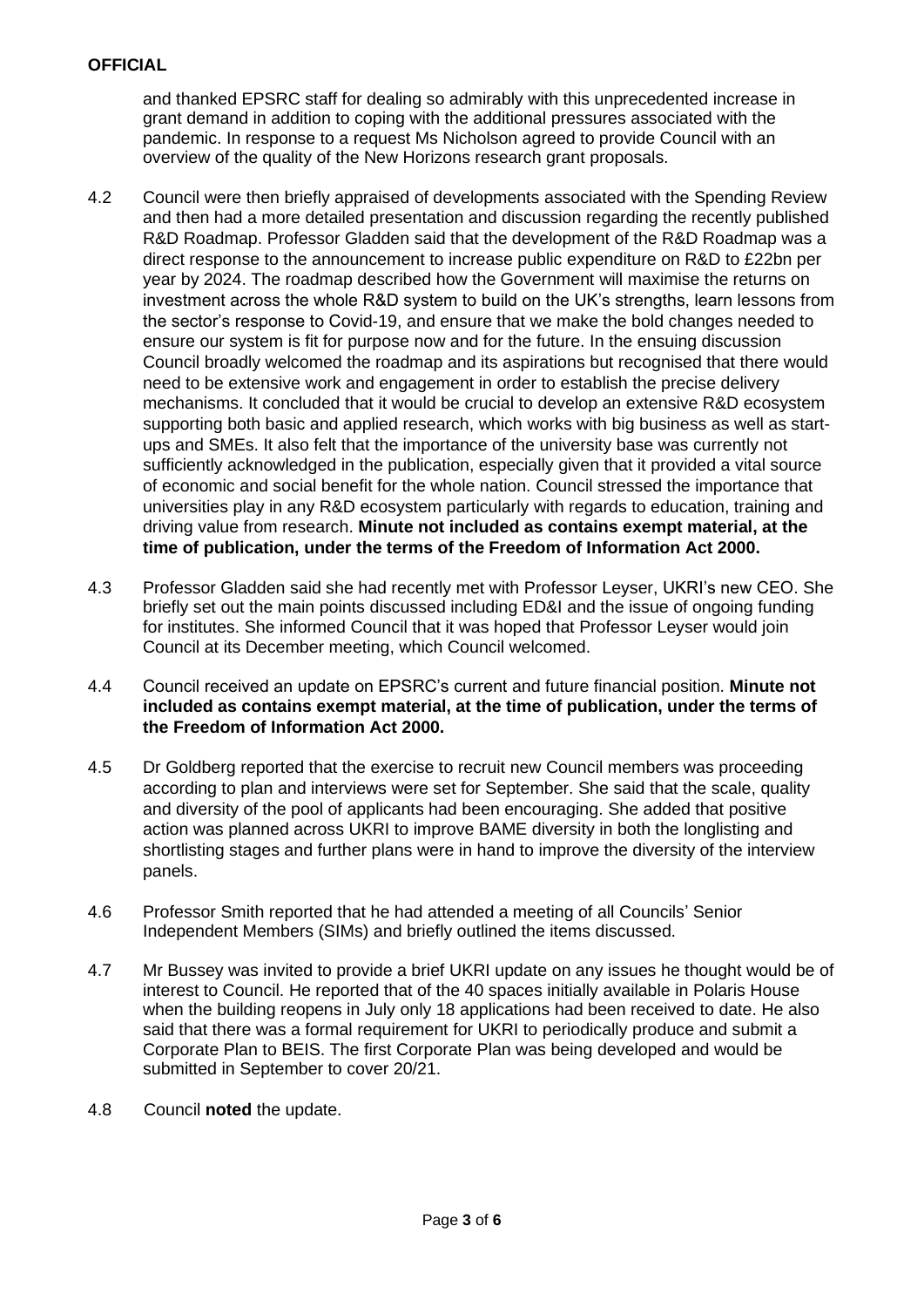and thanked EPSRC staff for dealing so admirably with this unprecedented increase in grant demand in addition to coping with the additional pressures associated with the pandemic. In response to a request Ms Nicholson agreed to provide Council with an overview of the quality of the New Horizons research grant proposals.

- 4.2 Council were then briefly appraised of developments associated with the Spending Review and then had a more detailed presentation and discussion regarding the recently published R&D Roadmap. Professor Gladden said that the development of the R&D Roadmap was a direct response to the announcement to increase public expenditure on R&D to £22bn per year by 2024. The roadmap described how the Government will maximise the returns on investment across the whole R&D system to build on the UK's strengths, learn lessons from the sector's response to Covid-19, and ensure that we make the bold changes needed to ensure our system is fit for purpose now and for the future. In the ensuing discussion Council broadly welcomed the roadmap and its aspirations but recognised that there would need to be extensive work and engagement in order to establish the precise delivery mechanisms. It concluded that it would be crucial to develop an extensive R&D ecosystem supporting both basic and applied research, which works with big business as well as startups and SMEs. It also felt that the importance of the university base was currently not sufficiently acknowledged in the publication, especially given that it provided a vital source of economic and social benefit for the whole nation. Council stressed the importance that universities play in any R&D ecosystem particularly with regards to education, training and driving value from research. **Minute not included as contains exempt material, at the time of publication, under the terms of the Freedom of Information Act 2000.**
- 4.3 Professor Gladden said she had recently met with Professor Leyser, UKRI's new CEO. She briefly set out the main points discussed including ED&I and the issue of ongoing funding for institutes. She informed Council that it was hoped that Professor Leyser would join Council at its December meeting, which Council welcomed.
- 4.4 Council received an update on EPSRC's current and future financial position. **Minute not included as contains exempt material, at the time of publication, under the terms of the Freedom of Information Act 2000.**
- 4.5 Dr Goldberg reported that the exercise to recruit new Council members was proceeding according to plan and interviews were set for September. She said that the scale, quality and diversity of the pool of applicants had been encouraging. She added that positive action was planned across UKRI to improve BAME diversity in both the longlisting and shortlisting stages and further plans were in hand to improve the diversity of the interview panels.
- 4.6 Professor Smith reported that he had attended a meeting of all Councils' Senior Independent Members (SIMs) and briefly outlined the items discussed.
- 4.7 Mr Bussey was invited to provide a brief UKRI update on any issues he thought would be of interest to Council. He reported that of the 40 spaces initially available in Polaris House when the building reopens in July only 18 applications had been received to date. He also said that there was a formal requirement for UKRI to periodically produce and submit a Corporate Plan to BEIS. The first Corporate Plan was being developed and would be submitted in September to cover 20/21.
- 4.8 Council **noted** the update.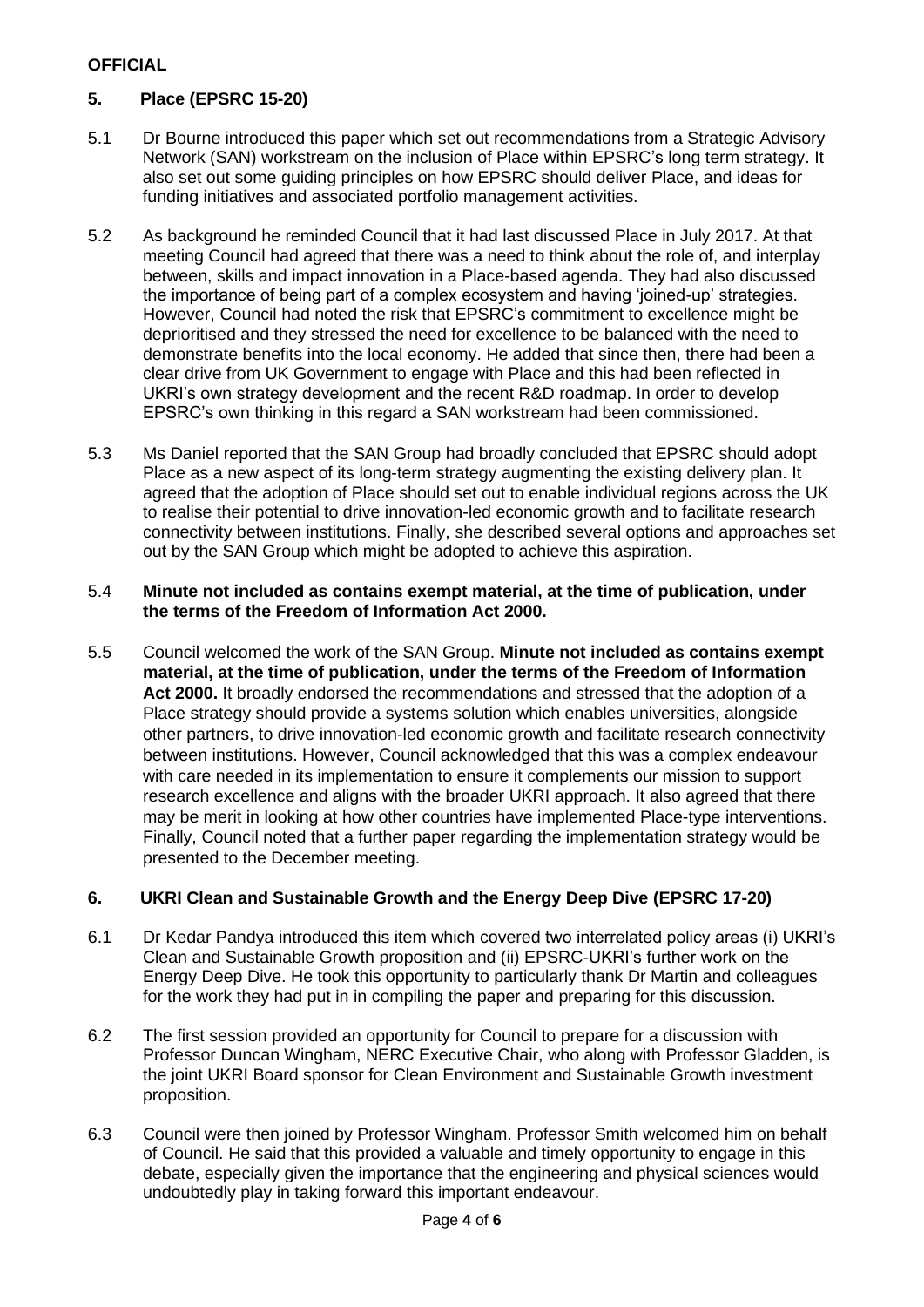# **5. Place (EPSRC 15-20)**

- 5.1 Dr Bourne introduced this paper which set out recommendations from a Strategic Advisory Network (SAN) workstream on the inclusion of Place within EPSRC's long term strategy. It also set out some guiding principles on how EPSRC should deliver Place, and ideas for funding initiatives and associated portfolio management activities.
- 5.2 As background he reminded Council that it had last discussed Place in July 2017. At that meeting Council had agreed that there was a need to think about the role of, and interplay between, skills and impact innovation in a Place-based agenda. They had also discussed the importance of being part of a complex ecosystem and having 'joined-up' strategies. However, Council had noted the risk that EPSRC's commitment to excellence might be deprioritised and they stressed the need for excellence to be balanced with the need to demonstrate benefits into the local economy. He added that since then, there had been a clear drive from UK Government to engage with Place and this had been reflected in UKRI's own strategy development and the recent R&D roadmap. In order to develop EPSRC's own thinking in this regard a SAN workstream had been commissioned.
- 5.3 Ms Daniel reported that the SAN Group had broadly concluded that EPSRC should adopt Place as a new aspect of its long-term strategy augmenting the existing delivery plan. It agreed that the adoption of Place should set out to enable individual regions across the UK to realise their potential to drive innovation-led economic growth and to facilitate research connectivity between institutions. Finally, she described several options and approaches set out by the SAN Group which might be adopted to achieve this aspiration.

### 5.4 **Minute not included as contains exempt material, at the time of publication, under the terms of the Freedom of Information Act 2000.**

5.5 Council welcomed the work of the SAN Group. **Minute not included as contains exempt material, at the time of publication, under the terms of the Freedom of Information Act 2000.** It broadly endorsed the recommendations and stressed that the adoption of a Place strategy should provide a systems solution which enables universities, alongside other partners, to drive innovation-led economic growth and facilitate research connectivity between institutions. However, Council acknowledged that this was a complex endeavour with care needed in its implementation to ensure it complements our mission to support research excellence and aligns with the broader UKRI approach. It also agreed that there may be merit in looking at how other countries have implemented Place-type interventions. Finally, Council noted that a further paper regarding the implementation strategy would be presented to the December meeting.

# **6. UKRI Clean and Sustainable Growth and the Energy Deep Dive (EPSRC 17-20)**

- 6.1 Dr Kedar Pandya introduced this item which covered two interrelated policy areas (i) UKRI's Clean and Sustainable Growth proposition and (ii) EPSRC-UKRI's further work on the Energy Deep Dive. He took this opportunity to particularly thank Dr Martin and colleagues for the work they had put in in compiling the paper and preparing for this discussion.
- 6.2 The first session provided an opportunity for Council to prepare for a discussion with Professor Duncan Wingham, NERC Executive Chair, who along with Professor Gladden, is the joint UKRI Board sponsor for Clean Environment and Sustainable Growth investment proposition.
- 6.3 Council were then joined by Professor Wingham. Professor Smith welcomed him on behalf of Council. He said that this provided a valuable and timely opportunity to engage in this debate, especially given the importance that the engineering and physical sciences would undoubtedly play in taking forward this important endeavour.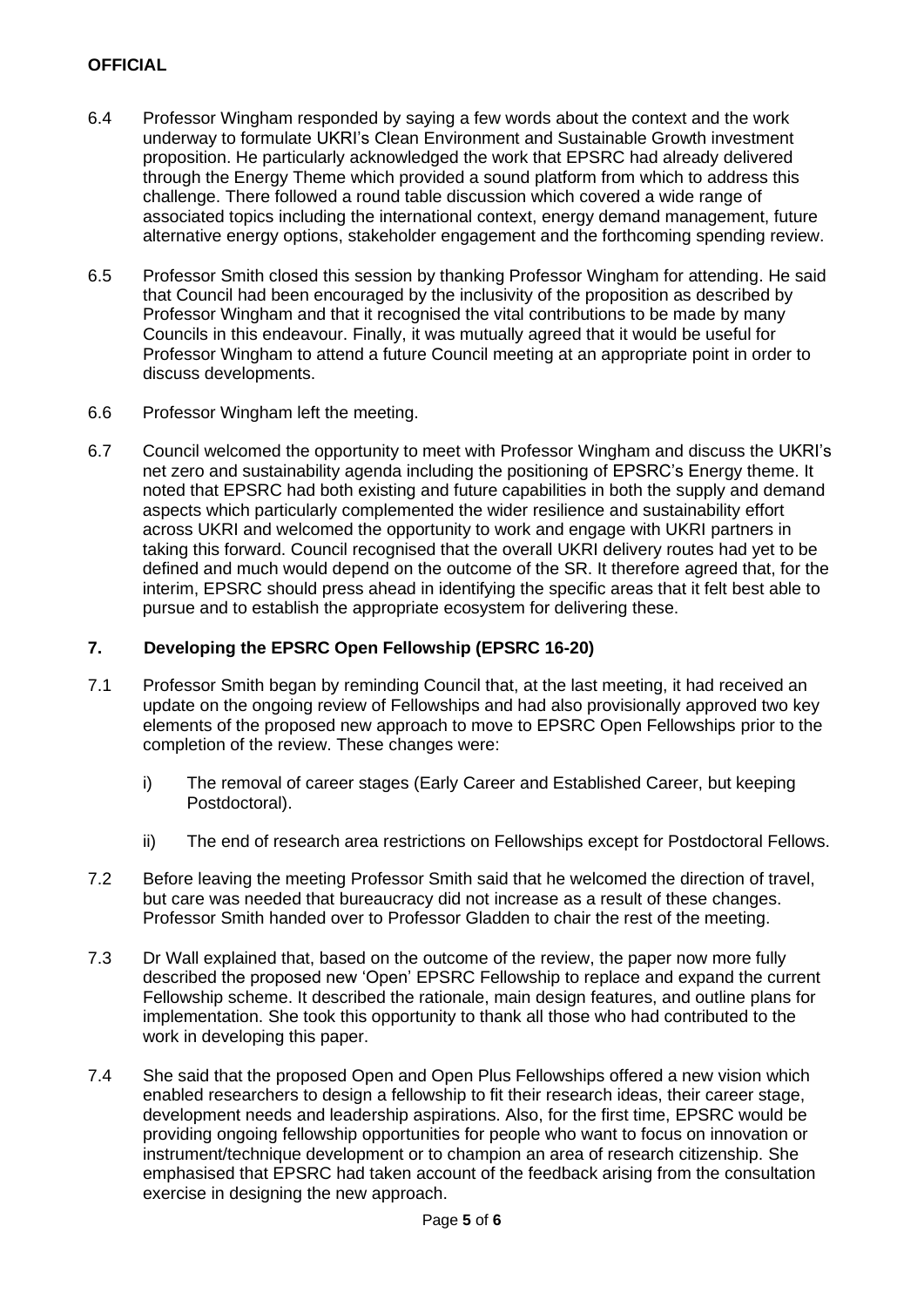- 6.4 Professor Wingham responded by saying a few words about the context and the work underway to formulate UKRI's Clean Environment and Sustainable Growth investment proposition. He particularly acknowledged the work that EPSRC had already delivered through the Energy Theme which provided a sound platform from which to address this challenge. There followed a round table discussion which covered a wide range of associated topics including the international context, energy demand management, future alternative energy options, stakeholder engagement and the forthcoming spending review.
- 6.5 Professor Smith closed this session by thanking Professor Wingham for attending. He said that Council had been encouraged by the inclusivity of the proposition as described by Professor Wingham and that it recognised the vital contributions to be made by many Councils in this endeavour. Finally, it was mutually agreed that it would be useful for Professor Wingham to attend a future Council meeting at an appropriate point in order to discuss developments.
- 6.6 Professor Wingham left the meeting.
- 6.7 Council welcomed the opportunity to meet with Professor Wingham and discuss the UKRI's net zero and sustainability agenda including the positioning of EPSRC's Energy theme. It noted that EPSRC had both existing and future capabilities in both the supply and demand aspects which particularly complemented the wider resilience and sustainability effort across UKRI and welcomed the opportunity to work and engage with UKRI partners in taking this forward. Council recognised that the overall UKRI delivery routes had yet to be defined and much would depend on the outcome of the SR. It therefore agreed that, for the interim, EPSRC should press ahead in identifying the specific areas that it felt best able to pursue and to establish the appropriate ecosystem for delivering these.

### **7. Developing the EPSRC Open Fellowship (EPSRC 16-20)**

- 7.1 Professor Smith began by reminding Council that, at the last meeting, it had received an update on the ongoing review of Fellowships and had also provisionally approved two key elements of the proposed new approach to move to EPSRC Open Fellowships prior to the completion of the review. These changes were:
	- i) The removal of career stages (Early Career and Established Career, but keeping Postdoctoral).
	- ii) The end of research area restrictions on Fellowships except for Postdoctoral Fellows.
- 7.2 Before leaving the meeting Professor Smith said that he welcomed the direction of travel, but care was needed that bureaucracy did not increase as a result of these changes. Professor Smith handed over to Professor Gladden to chair the rest of the meeting.
- 7.3 Dr Wall explained that, based on the outcome of the review, the paper now more fully described the proposed new 'Open' EPSRC Fellowship to replace and expand the current Fellowship scheme. It described the rationale, main design features, and outline plans for implementation. She took this opportunity to thank all those who had contributed to the work in developing this paper.
- 7.4 She said that the proposed Open and Open Plus Fellowships offered a new vision which enabled researchers to design a fellowship to fit their research ideas, their career stage, development needs and leadership aspirations. Also, for the first time, EPSRC would be providing ongoing fellowship opportunities for people who want to focus on innovation or instrument/technique development or to champion an area of research citizenship. She emphasised that EPSRC had taken account of the feedback arising from the consultation exercise in designing the new approach.